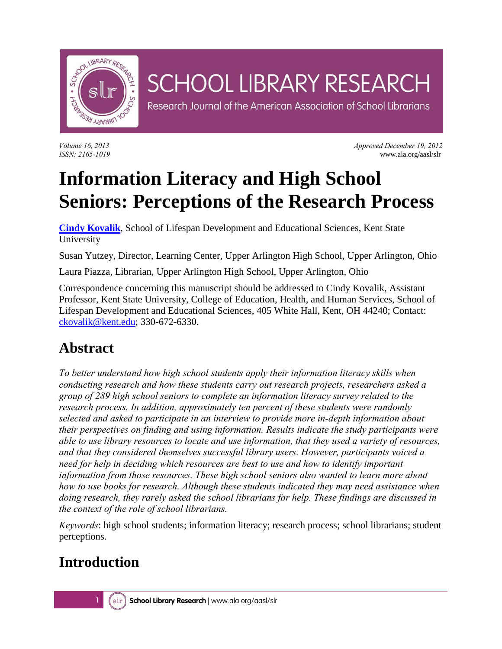

# **SCHOOL LIBRARY RESEARCH**

Research Journal of the American Association of School Librarians

*Volume 16, 2013 Approved December 19, 2012 ISSN: 2165-1019* www.ala.org/aasl/slr

# **Information Literacy and High School Seniors: Perceptions of the Research Process**

**[Cindy Kovalik](mailto:ckovalik@kent.edu)**, School of Lifespan Development and Educational Sciences, Kent State University

Susan Yutzey, Director, Learning Center, Upper Arlington High School, Upper Arlington, Ohio

Laura Piazza, Librarian, Upper Arlington High School, Upper Arlington, Ohio

Correspondence concerning this manuscript should be addressed to Cindy Kovalik, Assistant Professor, Kent State University, College of Education, Health, and Human Services, School of Lifespan Development and Educational Sciences, 405 White Hall, Kent, OH 44240; Contact: [ckovalik@kent.edu;](mailto:ckovalik@kent.edu) 330-672-6330.

### **Abstract**

*To better understand how high school students apply their information literacy skills when conducting research and how these students carry out research projects, researchers asked a group of 289 high school seniors to complete an information literacy survey related to the research process. In addition, approximately ten percent of these students were randomly selected and asked to participate in an interview to provide more in-depth information about their perspectives on finding and using information. Results indicate the study participants were able to use library resources to locate and use information, that they used a variety of resources, and that they considered themselves successful library users. However, participants voiced a need for help in deciding which resources are best to use and how to identify important information from those resources. These high school seniors also wanted to learn more about how to use books for research. Although these students indicated they may need assistance when doing research, they rarely asked the school librarians for help. These findings are discussed in the context of the role of school librarians.* 

*Keywords*: high school students; information literacy; research process; school librarians; student perceptions.

### **Introduction**

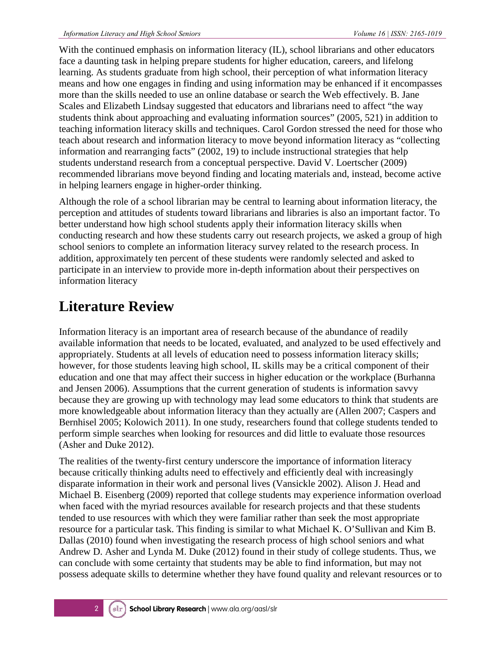With the continued emphasis on information literacy (IL), school librarians and other educators face a daunting task in helping prepare students for higher education, careers, and lifelong learning. As students graduate from high school, their perception of what information literacy means and how one engages in finding and using information may be enhanced if it encompasses more than the skills needed to use an online database or search the Web effectively. B. Jane Scales and Elizabeth Lindsay suggested that educators and librarians need to affect "the way students think about approaching and evaluating information sources" (2005, 521) in addition to teaching information literacy skills and techniques. Carol Gordon stressed the need for those who teach about research and information literacy to move beyond information literacy as "collecting information and rearranging facts" (2002, 19) to include instructional strategies that help students understand research from a conceptual perspective. David V. Loertscher (2009) recommended librarians move beyond finding and locating materials and, instead, become active in helping learners engage in higher-order thinking.

Although the role of a school librarian may be central to learning about information literacy, the perception and attitudes of students toward librarians and libraries is also an important factor. To better understand how high school students apply their information literacy skills when conducting research and how these students carry out research projects, we asked a group of high school seniors to complete an information literacy survey related to the research process. In addition, approximately ten percent of these students were randomly selected and asked to participate in an interview to provide more in-depth information about their perspectives on information literacy

### **Literature Review**

Information literacy is an important area of research because of the abundance of readily available information that needs to be located, evaluated, and analyzed to be used effectively and appropriately. Students at all levels of education need to possess information literacy skills; however, for those students leaving high school, IL skills may be a critical component of their education and one that may affect their success in higher education or the workplace (Burhanna and Jensen 2006). Assumptions that the current generation of students is information savvy because they are growing up with technology may lead some educators to think that students are more knowledgeable about information literacy than they actually are (Allen 2007; Caspers and Bernhisel 2005; Kolowich 2011). In one study, researchers found that college students tended to perform simple searches when looking for resources and did little to evaluate those resources (Asher and Duke 2012).

The realities of the twenty-first century underscore the importance of information literacy because critically thinking adults need to effectively and efficiently deal with increasingly disparate information in their work and personal lives (Vansickle 2002). Alison J. Head and Michael B. Eisenberg (2009) reported that college students may experience information overload when faced with the myriad resources available for research projects and that these students tended to use resources with which they were familiar rather than seek the most appropriate resource for a particular task. This finding is similar to what Michael K. O'Sullivan and Kim B. Dallas (2010) found when investigating the research process of high school seniors and what Andrew D. Asher and Lynda M. Duke (2012) found in their study of college students. Thus, we can conclude with some certainty that students may be able to find information, but may not possess adequate skills to determine whether they have found quality and relevant resources or to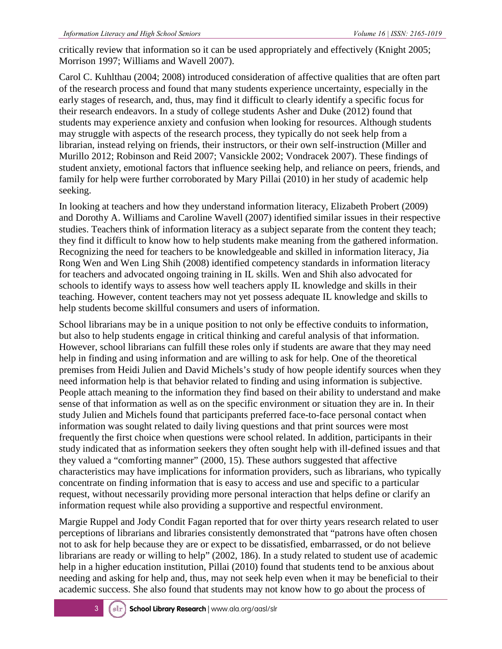critically review that information so it can be used appropriately and effectively (Knight 2005; Morrison 1997; Williams and Wavell 2007).

Carol C. Kuhlthau (2004; 2008) introduced consideration of affective qualities that are often part of the research process and found that many students experience uncertainty, especially in the early stages of research, and, thus, may find it difficult to clearly identify a specific focus for their research endeavors. In a study of college students Asher and Duke (2012) found that students may experience anxiety and confusion when looking for resources. Although students may struggle with aspects of the research process, they typically do not seek help from a librarian, instead relying on friends, their instructors, or their own self-instruction (Miller and Murillo 2012; Robinson and Reid 2007; Vansickle 2002; Vondracek 2007). These findings of student anxiety, emotional factors that influence seeking help, and reliance on peers, friends, and family for help were further corroborated by Mary Pillai (2010) in her study of academic help seeking.

In looking at teachers and how they understand information literacy, Elizabeth Probert (2009) and Dorothy A. Williams and Caroline Wavell (2007) identified similar issues in their respective studies. Teachers think of information literacy as a subject separate from the content they teach; they find it difficult to know how to help students make meaning from the gathered information. Recognizing the need for teachers to be knowledgeable and skilled in information literacy, Jia Rong Wen and Wen Ling Shih (2008) identified competency standards in information literacy for teachers and advocated ongoing training in IL skills. Wen and Shih also advocated for schools to identify ways to assess how well teachers apply IL knowledge and skills in their teaching. However, content teachers may not yet possess adequate IL knowledge and skills to help students become skillful consumers and users of information.

School librarians may be in a unique position to not only be effective conduits to information, but also to help students engage in critical thinking and careful analysis of that information. However, school librarians can fulfill these roles only if students are aware that they may need help in finding and using information and are willing to ask for help. One of the theoretical premises from Heidi Julien and David Michels's study of how people identify sources when they need information help is that behavior related to finding and using information is subjective. People attach meaning to the information they find based on their ability to understand and make sense of that information as well as on the specific environment or situation they are in. In their study Julien and Michels found that participants preferred face-to-face personal contact when information was sought related to daily living questions and that print sources were most frequently the first choice when questions were school related. In addition, participants in their study indicated that as information seekers they often sought help with ill-defined issues and that they valued a "comforting manner" (2000, 15). These authors suggested that affective characteristics may have implications for information providers, such as librarians, who typically concentrate on finding information that is easy to access and use and specific to a particular request, without necessarily providing more personal interaction that helps define or clarify an information request while also providing a supportive and respectful environment.

Margie Ruppel and Jody Condit Fagan reported that for over thirty years research related to user perceptions of librarians and libraries consistently demonstrated that "patrons have often chosen not to ask for help because they are or expect to be dissatisfied, embarrassed, or do not believe librarians are ready or willing to help" (2002, 186). In a study related to student use of academic help in a higher education institution, Pillai (2010) found that students tend to be anxious about needing and asking for help and, thus, may not seek help even when it may be beneficial to their academic success. She also found that students may not know how to go about the process of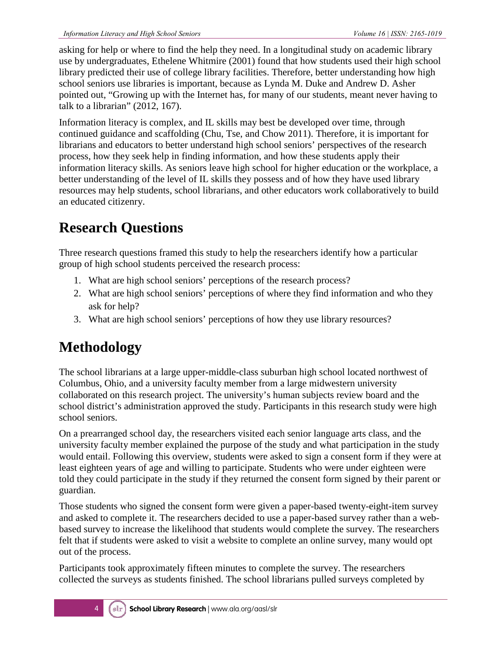asking for help or where to find the help they need. In a longitudinal study on academic library use by undergraduates, Ethelene Whitmire (2001) found that how students used their high school library predicted their use of college library facilities. Therefore, better understanding how high school seniors use libraries is important, because as Lynda M. Duke and Andrew D. Asher pointed out, "Growing up with the Internet has, for many of our students, meant never having to talk to a librarian" (2012, 167).

Information literacy is complex, and IL skills may best be developed over time, through continued guidance and scaffolding (Chu, Tse, and Chow 2011). Therefore, it is important for librarians and educators to better understand high school seniors' perspectives of the research process, how they seek help in finding information, and how these students apply their information literacy skills. As seniors leave high school for higher education or the workplace, a better understanding of the level of IL skills they possess and of how they have used library resources may help students, school librarians, and other educators work collaboratively to build an educated citizenry.

### **Research Questions**

Three research questions framed this study to help the researchers identify how a particular group of high school students perceived the research process:

- 1. What are high school seniors' perceptions of the research process?
- 2. What are high school seniors' perceptions of where they find information and who they ask for help?
- 3. What are high school seniors' perceptions of how they use library resources?

### **Methodology**

The school librarians at a large upper-middle-class suburban high school located northwest of Columbus, Ohio, and a university faculty member from a large midwestern university collaborated on this research project. The university's human subjects review board and the school district's administration approved the study. Participants in this research study were high school seniors.

On a prearranged school day, the researchers visited each senior language arts class, and the university faculty member explained the purpose of the study and what participation in the study would entail. Following this overview, students were asked to sign a consent form if they were at least eighteen years of age and willing to participate. Students who were under eighteen were told they could participate in the study if they returned the consent form signed by their parent or guardian.

Those students who signed the consent form were given a paper-based twenty-eight-item survey and asked to complete it. The researchers decided to use a paper-based survey rather than a webbased survey to increase the likelihood that students would complete the survey. The researchers felt that if students were asked to visit a website to complete an online survey, many would opt out of the process.

Participants took approximately fifteen minutes to complete the survey. The researchers collected the surveys as students finished. The school librarians pulled surveys completed by

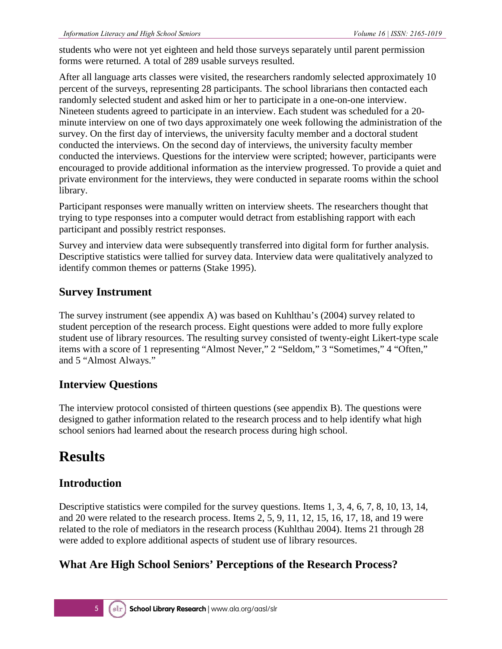students who were not yet eighteen and held those surveys separately until parent permission forms were returned. A total of 289 usable surveys resulted.

After all language arts classes were visited, the researchers randomly selected approximately 10 percent of the surveys, representing 28 participants. The school librarians then contacted each randomly selected student and asked him or her to participate in a one-on-one interview. Nineteen students agreed to participate in an interview. Each student was scheduled for a 20 minute interview on one of two days approximately one week following the administration of the survey. On the first day of interviews, the university faculty member and a doctoral student conducted the interviews. On the second day of interviews, the university faculty member conducted the interviews. Questions for the interview were scripted; however, participants were encouraged to provide additional information as the interview progressed. To provide a quiet and private environment for the interviews, they were conducted in separate rooms within the school library.

Participant responses were manually written on interview sheets. The researchers thought that trying to type responses into a computer would detract from establishing rapport with each participant and possibly restrict responses.

Survey and interview data were subsequently transferred into digital form for further analysis. Descriptive statistics were tallied for survey data. Interview data were qualitatively analyzed to identify common themes or patterns (Stake 1995).

#### **Survey Instrument**

The survey instrument (see appendix A) was based on Kuhlthau's (2004) survey related to student perception of the research process. Eight questions were added to more fully explore student use of library resources. The resulting survey consisted of twenty-eight Likert-type scale items with a score of 1 representing "Almost Never," 2 "Seldom," 3 "Sometimes," 4 "Often," and 5 "Almost Always."

#### **Interview Questions**

The interview protocol consisted of thirteen questions (see appendix B). The questions were designed to gather information related to the research process and to help identify what high school seniors had learned about the research process during high school.

### **Results**

#### **Introduction**

Descriptive statistics were compiled for the survey questions. Items 1, 3, 4, 6, 7, 8, 10, 13, 14, and 20 were related to the research process. Items 2, 5, 9, 11, 12, 15, 16, 17, 18, and 19 were related to the role of mediators in the research process (Kuhlthau 2004). Items 21 through 28 were added to explore additional aspects of student use of library resources.

#### **What Are High School Seniors' Perceptions of the Research Process?**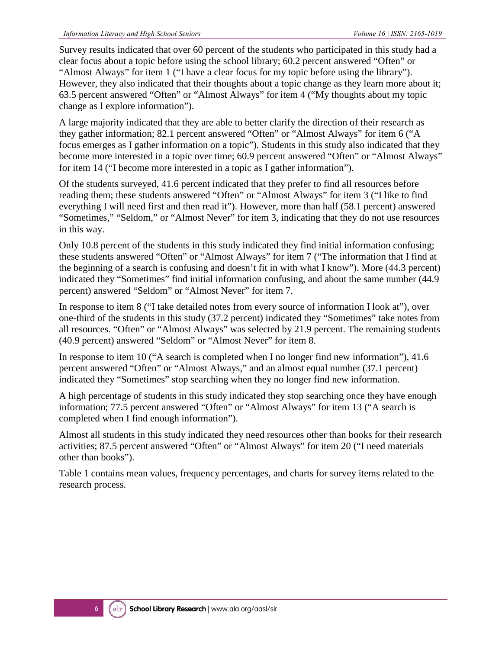Survey results indicated that over 60 percent of the students who participated in this study had a clear focus about a topic before using the school library; 60.2 percent answered "Often" or "Almost Always" for item 1 ("I have a clear focus for my topic before using the library"). However, they also indicated that their thoughts about a topic change as they learn more about it; 63.5 percent answered "Often" or "Almost Always" for item 4 ("My thoughts about my topic change as I explore information").

A large majority indicated that they are able to better clarify the direction of their research as they gather information; 82.1 percent answered "Often" or "Almost Always" for item 6 ("A focus emerges as I gather information on a topic"). Students in this study also indicated that they become more interested in a topic over time; 60.9 percent answered "Often" or "Almost Always" for item 14 ("I become more interested in a topic as I gather information").

Of the students surveyed, 41.6 percent indicated that they prefer to find all resources before reading them; these students answered "Often" or "Almost Always" for item 3 ("I like to find everything I will need first and then read it"). However, more than half (58.1 percent) answered "Sometimes," "Seldom," or "Almost Never" for item 3, indicating that they do not use resources in this way.

Only 10.8 percent of the students in this study indicated they find initial information confusing; these students answered "Often" or "Almost Always" for item 7 ("The information that I find at the beginning of a search is confusing and doesn't fit in with what I know"). More (44.3 percent) indicated they "Sometimes" find initial information confusing, and about the same number (44.9 percent) answered "Seldom" or "Almost Never" for item 7.

In response to item 8 ("I take detailed notes from every source of information I look at"), over one-third of the students in this study (37.2 percent) indicated they "Sometimes" take notes from all resources. "Often" or "Almost Always" was selected by 21.9 percent. The remaining students (40.9 percent) answered "Seldom" or "Almost Never" for item 8.

In response to item 10 ("A search is completed when I no longer find new information"), 41.6 percent answered "Often" or "Almost Always," and an almost equal number (37.1 percent) indicated they "Sometimes" stop searching when they no longer find new information.

A high percentage of students in this study indicated they stop searching once they have enough information; 77.5 percent answered "Often" or "Almost Always" for item 13 ("A search is completed when I find enough information").

Almost all students in this study indicated they need resources other than books for their research activities; 87.5 percent answered "Often" or "Almost Always" for item 20 ("I need materials other than books").

Table 1 contains mean values, frequency percentages, and charts for survey items related to the research process.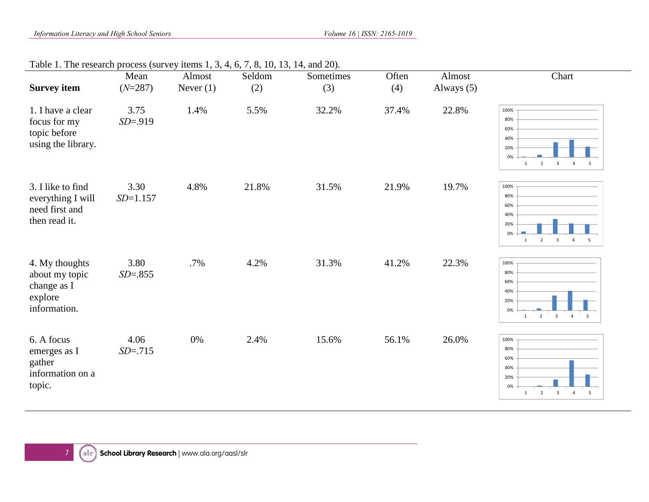#### Table 1. The research process (survey items 1, 3, 4, 6, 7, 8, 10, 13, 14, and 20).

| <b>Survey item</b>                                                         | Mean<br>$(N=287)$    | Almost<br>Never $(1)$ | Seldom<br>(2) | Sometimes<br>(3) | Often<br>(4) | Almost<br>Always $(5)$ | Chart                                                                                                                                                       |
|----------------------------------------------------------------------------|----------------------|-----------------------|---------------|------------------|--------------|------------------------|-------------------------------------------------------------------------------------------------------------------------------------------------------------|
| 1. I have a clear<br>focus for my<br>topic before<br>using the library.    | 3.75<br>$SD = .919$  | 1.4%                  | 5.5%          | 32.2%            | 37.4%        | 22.8%                  | 100%<br>80%<br>60%<br>40%<br>20%<br>0%<br>$\overline{\mathbf{3}}$<br>$\overline{2}$<br>$\overline{4}$<br>5<br>$1\,$                                         |
| 3. I like to find<br>everything I will<br>need first and<br>then read it.  | 3.30<br>$SD = 1.157$ | 4.8%                  | 21.8%         | 31.5%            | 21.9%        | 19.7%                  | 100%<br>80%<br>60%<br>40%<br>20%<br>0%<br>$\overline{2}$<br>$\overline{\mathbf{3}}$<br>$\mathbf{1}$<br>$\overline{4}$<br>5                                  |
| 4. My thoughts<br>about my topic<br>change as I<br>explore<br>information. | 3.80<br>$SD = .855$  | .7%                   | 4.2%          | 31.3%            | 41.2%        | 22.3%                  | 100%<br>80%<br>60%<br>40%<br>20%<br>0%<br>$\overline{\mathbf{c}}$<br>$\overline{\phantom{a}}$<br>$\overline{4}$<br>$\overline{\phantom{0}}$<br>$\mathbf{1}$ |
| 6. A focus<br>emerges as I<br>gather<br>information on a<br>topic.         | 4.06<br>$SD = .715$  | $0\%$                 | 2.4%          | 15.6%            | 56.1%        | 26.0%                  | 100%<br>80%<br>60%<br>40%<br>20%<br>0%<br>$\overline{\mathbf{3}}$<br>5<br>$\overline{2}$<br>$\mathbf{1}$<br>$\overline{4}$                                  |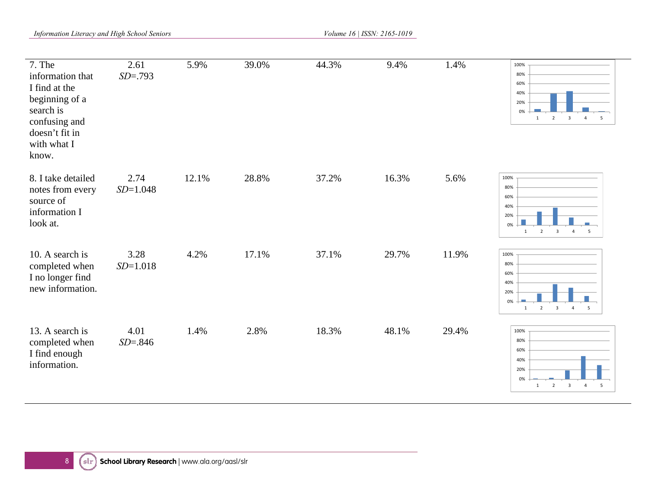*Information Literacy and High School Seniors Volume 16 | ISSN: 2165-1019 Volume 16 | ISSN: 2165-1019* 

| $7.$ The<br>information that<br>I find at the<br>beginning of a<br>search is<br>confusing and<br>doesn't fit in<br>with what I<br>know. | 2.61<br>$SD = .793$  | 5.9%  | 39.0% | 44.3% | 9.4%  | 1.4%  | 100%<br>80%<br>60%<br>40%<br>20%<br>0%<br>$\overline{2}$<br>$\overline{\mathbf{3}}$<br>1<br>$\overline{4}$<br>$5^{\circ}$                                  |
|-----------------------------------------------------------------------------------------------------------------------------------------|----------------------|-------|-------|-------|-------|-------|------------------------------------------------------------------------------------------------------------------------------------------------------------|
| 8. I take detailed<br>notes from every<br>source of<br>information I<br>look at.                                                        | 2.74<br>$SD = 1.048$ | 12.1% | 28.8% | 37.2% | 16.3% | 5.6%  | 100%<br>80%<br>60%<br>40%<br>20%<br>0%<br>$\overline{2}$<br>$\overline{\mathbf{3}}$<br>$\overline{4}$<br>$\mathbf{1}$<br>5                                 |
| 10. A search is<br>completed when<br>I no longer find<br>new information.                                                               | 3.28<br>$SD = 1.018$ | 4.2%  | 17.1% | 37.1% | 29.7% | 11.9% | 100%<br>80%<br>60%<br>40%<br>20%<br>0%<br>$\overline{\mathbf{c}}$<br>$\overline{\mathbf{3}}$<br>$\overline{4}$<br>$\overline{\phantom{a}}$<br>$\mathbf{1}$ |
| 13. A search is<br>completed when<br>I find enough<br>information.                                                                      | 4.01<br>$SD = .846$  | 1.4%  | 2.8%  | 18.3% | 48.1% | 29.4% | 100%<br>80%<br>60%<br>40%<br>20%<br>0%<br>$\overline{2}$<br>$\overline{\mathbf{3}}$<br>$\overline{4}$<br>$5\overline{5}$<br>$\mathbf{1}$                   |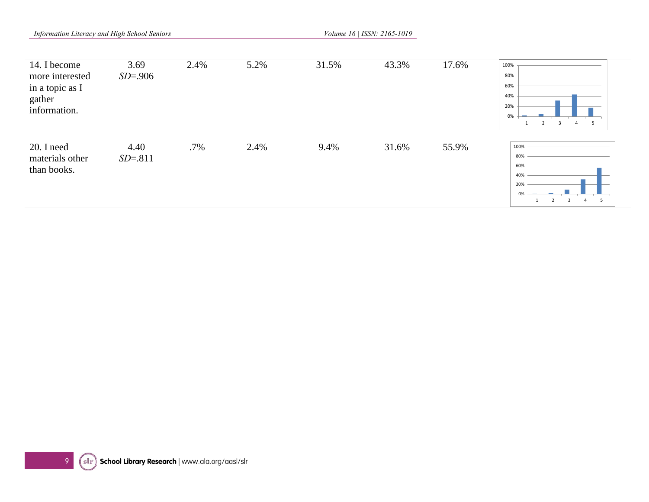*Information Literacy and High School Seniors Volume 16 | ISSN: 2165-1019 Volume 16 | ISSN: 2165-1019* 

| 14. I become<br>more interested<br>in a topic as I<br>gather<br>information. | 3.69<br>$SD = .906$ | 2.4% | 5.2% | 31.5% | 43.3% | 17.6% | 100%<br>80%<br>60%<br>40%<br>20%<br>0%<br>$\overline{2}$<br>$\overline{3}$<br>5 |
|------------------------------------------------------------------------------|---------------------|------|------|-------|-------|-------|---------------------------------------------------------------------------------|
| 20. I need<br>materials other<br>than books.                                 | 4.40<br>$SD = .811$ | .7%  | 2.4% | 9.4%  | 31.6% | 55.9% | 100%<br>80%<br>60%<br>40%<br>20%<br>0%<br>5                                     |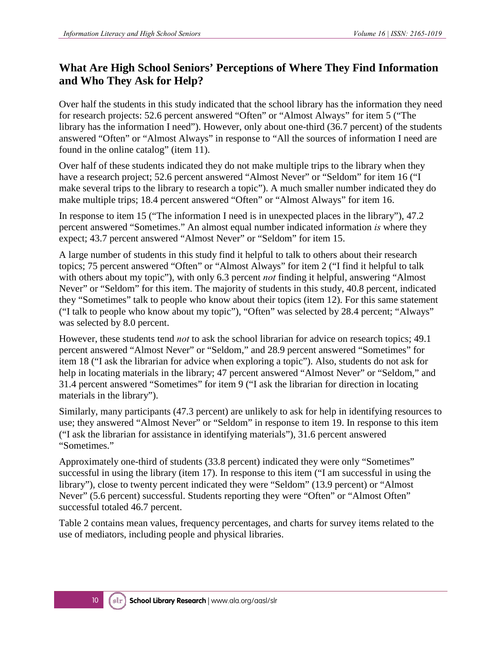#### **What Are High School Seniors' Perceptions of Where They Find Information and Who They Ask for Help?**

Over half the students in this study indicated that the school library has the information they need for research projects: 52.6 percent answered "Often" or "Almost Always" for item 5 ("The library has the information I need"). However, only about one-third (36.7 percent) of the students answered "Often" or "Almost Always" in response to "All the sources of information I need are found in the online catalog" (item 11).

Over half of these students indicated they do not make multiple trips to the library when they have a research project; 52.6 percent answered "Almost Never" or "Seldom" for item 16 ("I make several trips to the library to research a topic"). A much smaller number indicated they do make multiple trips; 18.4 percent answered "Often" or "Almost Always" for item 16.

In response to item 15 ("The information I need is in unexpected places in the library"), 47.2 percent answered "Sometimes." An almost equal number indicated information *is* where they expect; 43.7 percent answered "Almost Never" or "Seldom" for item 15.

A large number of students in this study find it helpful to talk to others about their research topics; 75 percent answered "Often" or "Almost Always" for item 2 ("I find it helpful to talk with others about my topic"), with only 6.3 percent *not* finding it helpful, answering "Almost Never" or "Seldom" for this item. The majority of students in this study, 40.8 percent, indicated they "Sometimes" talk to people who know about their topics (item 12). For this same statement ("I talk to people who know about my topic"), "Often" was selected by 28.4 percent; "Always" was selected by 8.0 percent.

However, these students tend *not* to ask the school librarian for advice on research topics; 49.1 percent answered "Almost Never" or "Seldom," and 28.9 percent answered "Sometimes" for item 18 ("I ask the librarian for advice when exploring a topic"). Also, students do not ask for help in locating materials in the library; 47 percent answered "Almost Never" or "Seldom," and 31.4 percent answered "Sometimes" for item 9 ("I ask the librarian for direction in locating materials in the library").

Similarly, many participants (47.3 percent) are unlikely to ask for help in identifying resources to use; they answered "Almost Never" or "Seldom" in response to item 19. In response to this item ("I ask the librarian for assistance in identifying materials"), 31.6 percent answered "Sometimes."

Approximately one-third of students (33.8 percent) indicated they were only "Sometimes" successful in using the library (item 17). In response to this item ("I am successful in using the library"), close to twenty percent indicated they were "Seldom" (13.9 percent) or "Almost Never" (5.6 percent) successful. Students reporting they were "Often" or "Almost Often" successful totaled 46.7 percent.

Table 2 contains mean values, frequency percentages, and charts for survey items related to the use of mediators, including people and physical libraries.

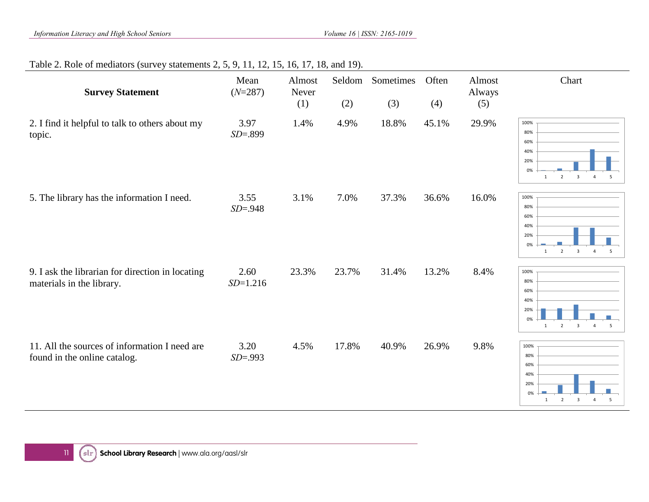#### Table 2. Role of mediators (survey statements 2, 5, 9, 11, 12, 15, 16, 17, 18, and 19).

| <b>Survey Statement</b>                                                       | Mean<br>$(N=287)$    | Almost<br>Never<br>(1) | Seldom<br>(2) | Sometimes<br>(3) | Often<br>(4) | Almost<br>Always<br>(5) | Chart                                                                                                                      |
|-------------------------------------------------------------------------------|----------------------|------------------------|---------------|------------------|--------------|-------------------------|----------------------------------------------------------------------------------------------------------------------------|
| 2. I find it helpful to talk to others about my<br>topic.                     | 3.97<br>$SD = .899$  | 1.4%                   | 4.9%          | 18.8%            | 45.1%        | 29.9%                   | 100%<br>80%<br>60%<br>40%<br>20%<br>0%<br>$\mathsf3$<br>$\overline{2}$<br>$\overline{4}$<br>5<br>1                         |
| 5. The library has the information I need.                                    | 3.55<br>$SD = .948$  | 3.1%                   | 7.0%          | 37.3%            | 36.6%        | 16.0%                   | 100%<br>80%<br>60%<br>40%<br>20%<br>0%<br>$\overline{2}$<br>$\overline{\mathbf{3}}$<br>$\overline{4}$<br>5<br>$\mathbf{1}$ |
| 9. I ask the librarian for direction in locating<br>materials in the library. | 2.60<br>$SD = 1.216$ | 23.3%                  | 23.7%         | 31.4%            | 13.2%        | 8.4%                    | 100%<br>80%<br>60%<br>40%<br>20%<br>0%<br>$\overline{\mathbf{3}}$<br>$\overline{4}$<br>$\overline{2}$<br>5<br>$\mathbf{1}$ |
| 11. All the sources of information I need are<br>found in the online catalog. | 3.20<br>$SD = .993$  | 4.5%                   | 17.8%         | 40.9%            | 26.9%        | 9.8%                    | 100%<br>80%<br>60%<br>40%<br>20%<br>0%<br>$\overline{2}$<br>$\overline{\mathbf{3}}$<br>5<br>1<br>$\overline{4}$            |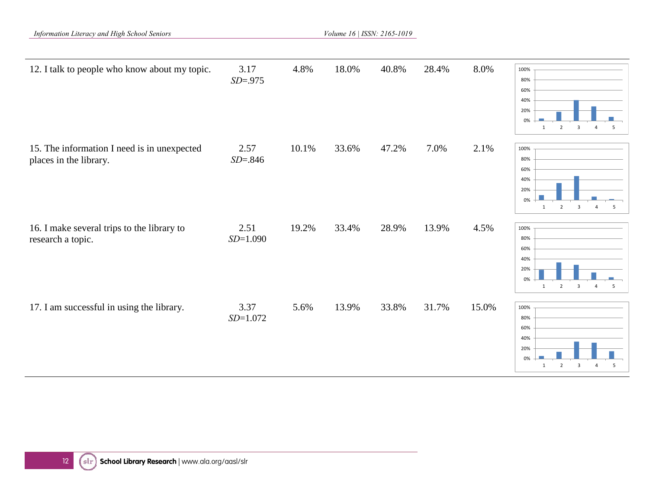*Information Literacy and High School Seniors Volume 16 | ISSN: 2165-1019 Volume 16 | ISSN: 2165-1019* 

| 12. I talk to people who know about my topic.                         | 3.17<br>$SD = .975$ | 4.8%  | 18.0% | 40.8% | 28.4% | 8.0%  | 100%<br>80%<br>60%<br>40%<br>20%<br>0%<br>$\overline{2}$<br>$\overline{\mathbf{3}}$<br>5<br>$\overline{4}$<br>$\mathbf{1}$ |
|-----------------------------------------------------------------------|---------------------|-------|-------|-------|-------|-------|----------------------------------------------------------------------------------------------------------------------------|
| 15. The information I need is in unexpected<br>places in the library. | 2.57<br>$SD = .846$ | 10.1% | 33.6% | 47.2% | 7.0%  | 2.1%  | 100%<br>80%<br>60%<br>40%<br>20%<br>0%<br>$\overline{2}$<br>$\overline{3}$<br>5<br>$\overline{4}$<br>$\mathbf{1}$          |
| 16. I make several trips to the library to<br>research a topic.       | 2.51<br>$SD=1.090$  | 19.2% | 33.4% | 28.9% | 13.9% | 4.5%  | 100%<br>80%<br>60%<br>40%<br>20%<br>0%<br>$\overline{2}$<br>$\overline{3}$<br>5<br>$\mathbf{1}$<br>$\overline{4}$          |
| 17. I am successful in using the library.                             | 3.37<br>$SD=1.072$  | 5.6%  | 13.9% | 33.8% | 31.7% | 15.0% | 100%<br>80%<br>60%<br>40%<br>20%<br>0%<br>$\overline{2}$<br>$\overline{3}$<br>5<br>$\overline{4}$<br>$\mathbf{1}$          |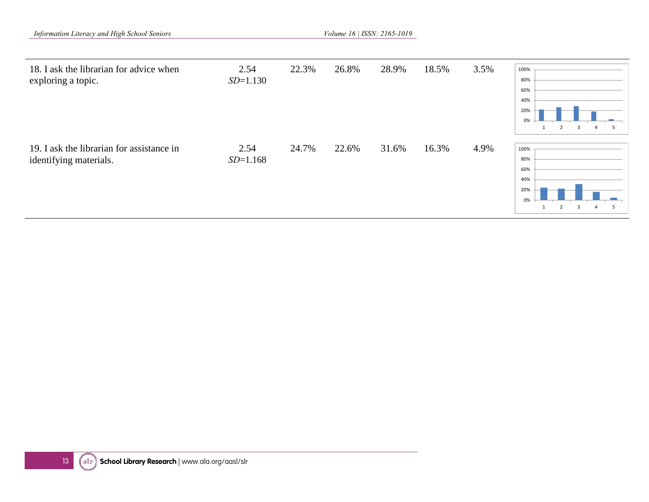|  | Information Literacy and High School Seniors |  |  |  |
|--|----------------------------------------------|--|--|--|
|--|----------------------------------------------|--|--|--|

*Information Literacy and High School Seniors Volume 16 | ISSN: 2165-1019*

| 18. I ask the librarian for advice when<br>exploring a topic.       | 2.54<br>$SD = 1.130$ | 22.3% | 26.8% | 28.9% | 18.5% | 3.5% | 100%<br>80%<br>60%<br>40%<br>20%<br>0%<br>3<br>$\overline{2}$ |
|---------------------------------------------------------------------|----------------------|-------|-------|-------|-------|------|---------------------------------------------------------------|
| 19. I ask the librarian for assistance in<br>identifying materials. | 2.54<br>$SD=1.168$   | 24.7% | 22.6% | 31.6% | 16.3% | 4.9% | 100%<br>80%<br>60%<br>40%<br>20%<br>0%                        |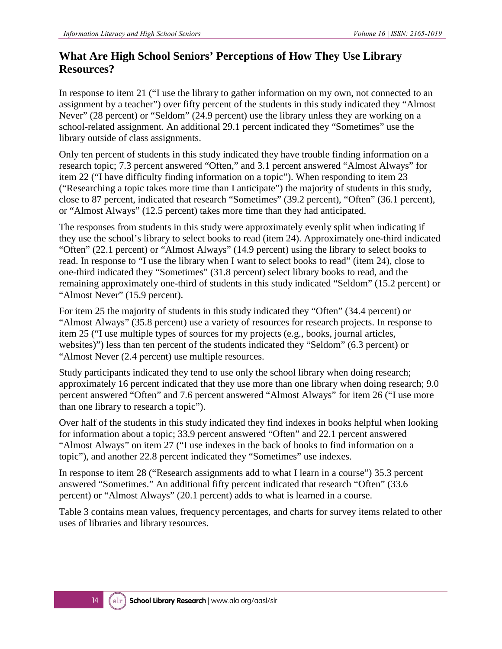#### **What Are High School Seniors' Perceptions of How They Use Library Resources?**

In response to item 21 ("I use the library to gather information on my own, not connected to an assignment by a teacher") over fifty percent of the students in this study indicated they "Almost Never" (28 percent) or "Seldom" (24.9 percent) use the library unless they are working on a school-related assignment. An additional 29.1 percent indicated they "Sometimes" use the library outside of class assignments.

Only ten percent of students in this study indicated they have trouble finding information on a research topic; 7.3 percent answered "Often," and 3.1 percent answered "Almost Always" for item 22 ("I have difficulty finding information on a topic"). When responding to item 23 ("Researching a topic takes more time than I anticipate") the majority of students in this study, close to 87 percent, indicated that research "Sometimes" (39.2 percent), "Often" (36.1 percent), or "Almost Always" (12.5 percent) takes more time than they had anticipated.

The responses from students in this study were approximately evenly split when indicating if they use the school's library to select books to read (item 24). Approximately one-third indicated "Often" (22.1 percent) or "Almost Always" (14.9 percent) using the library to select books to read. In response to "I use the library when I want to select books to read" (item 24), close to one-third indicated they "Sometimes" (31.8 percent) select library books to read, and the remaining approximately one-third of students in this study indicated "Seldom" (15.2 percent) or "Almost Never" (15.9 percent).

For item 25 the majority of students in this study indicated they "Often" (34.4 percent) or "Almost Always" (35.8 percent) use a variety of resources for research projects. In response to item 25 ("I use multiple types of sources for my projects (e.g., books, journal articles, websites)") less than ten percent of the students indicated they "Seldom" (6.3 percent) or "Almost Never (2.4 percent) use multiple resources.

Study participants indicated they tend to use only the school library when doing research; approximately 16 percent indicated that they use more than one library when doing research; 9.0 percent answered "Often" and 7.6 percent answered "Almost Always" for item 26 ("I use more than one library to research a topic").

Over half of the students in this study indicated they find indexes in books helpful when looking for information about a topic; 33.9 percent answered "Often" and 22.1 percent answered "Almost Always" on item 27 ("I use indexes in the back of books to find information on a topic"), and another 22.8 percent indicated they "Sometimes" use indexes.

In response to item 28 ("Research assignments add to what I learn in a course") 35.3 percent answered "Sometimes." An additional fifty percent indicated that research "Often" (33.6 percent) or "Almost Always" (20.1 percent) adds to what is learned in a course.

Table 3 contains mean values, frequency percentages, and charts for survey items related to other uses of libraries and library resources.

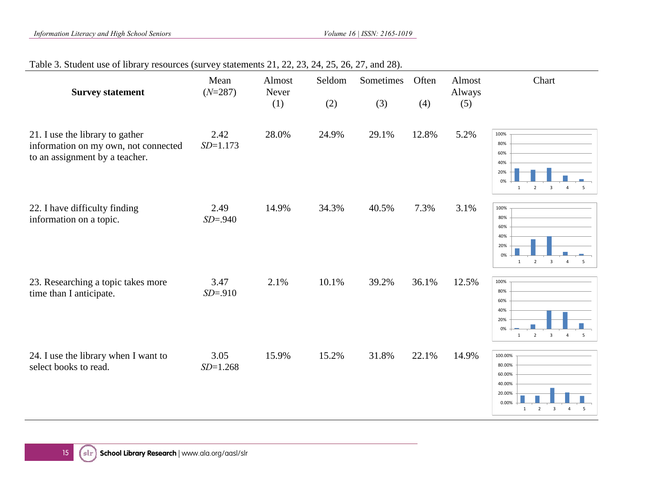#### Table 3. Student use of library resources (survey statements 21, 22, 23, 24, 25, 26, 27, and 28).

| <b>Survey statement</b>                                                                                   | Mean<br>$(N=287)$    | Almost<br>Never | Seldom | Sometimes | Often | Almost<br>Always | Chart                                                                                                                                            |
|-----------------------------------------------------------------------------------------------------------|----------------------|-----------------|--------|-----------|-------|------------------|--------------------------------------------------------------------------------------------------------------------------------------------------|
|                                                                                                           |                      | (1)             | (2)    | (3)       | (4)   | (5)              |                                                                                                                                                  |
| 21. I use the library to gather<br>information on my own, not connected<br>to an assignment by a teacher. | 2.42<br>$SD = 1.173$ | 28.0%           | 24.9%  | 29.1%     | 12.8% | 5.2%             | 100%<br>80%<br>60%<br>40%<br>20%<br>0%<br>$\overline{2}$<br>$\overline{\mathbf{3}}$<br>$\overline{4}$<br>5<br>$\mathbf{1}$                       |
| 22. I have difficulty finding<br>information on a topic.                                                  | 2.49<br>$SD = .940$  | 14.9%           | 34.3%  | 40.5%     | 7.3%  | 3.1%             | 100%<br>80%<br>60%<br>40%<br>20%<br>0%<br>$\overline{2}$<br>$\overline{\mathbf{3}}$<br>5<br>$\mathbf{1}$<br>$\overline{4}$                       |
| 23. Researching a topic takes more<br>time than I anticipate.                                             | 3.47<br>$SD = .910$  | 2.1%            | 10.1%  | 39.2%     | 36.1% | 12.5%            | 100%<br>80%<br>60%<br>40%<br>20%<br>0%<br>$\overline{\mathbf{3}}$<br>$\overline{2}$<br>$\overline{4}$<br>$\overline{\mathbf{5}}$<br>$\mathbf{1}$ |
| 24. I use the library when I want to<br>select books to read.                                             | 3.05<br>$SD = 1.268$ | 15.9%           | 15.2%  | 31.8%     | 22.1% | 14.9%            | 100.00%<br>80.00%<br>60.00%<br>40.00%<br>20.00%<br>0.00%<br>$\overline{2}$<br>$\mathbf{1}$<br>$\overline{\mathbf{3}}$<br>$\overline{4}$<br>5     |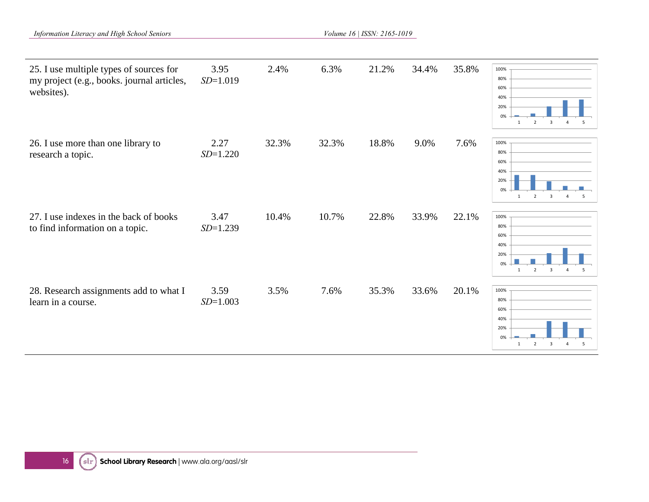*Information Literacy and High School Seniors Volume 16 | ISSN: 2165-1019 Volume 16 | ISSN: 2165-1019* 

| 25. I use multiple types of sources for<br>my project (e.g., books. journal articles,<br>websites). | 3.95<br>$SD=1.019$   | 2.4%  | 6.3%  | 21.2% | 34.4% | 35.8% | 100%<br>80%<br>60%<br>40%<br>20%<br>0%<br>$\overline{2}$<br>3<br>$\overline{4}$<br>5<br>1                                  |
|-----------------------------------------------------------------------------------------------------|----------------------|-------|-------|-------|-------|-------|----------------------------------------------------------------------------------------------------------------------------|
| 26. I use more than one library to<br>research a topic.                                             | 2.27<br>$SD = 1.220$ | 32.3% | 32.3% | 18.8% | 9.0%  | 7.6%  | 100%<br>80%<br>60%<br>40%<br>20%<br>0%<br>$\overline{2}$<br>$\overline{3}$<br>$\overline{4}$<br>5<br>$\mathbf{1}$          |
| 27. I use indexes in the back of books<br>to find information on a topic.                           | 3.47<br>$SD=1.239$   | 10.4% | 10.7% | 22.8% | 33.9% | 22.1% | 100%<br>80%<br>60%<br>40%<br>20%<br>0%<br>$\overline{2}$<br>$\overline{\mathbf{3}}$<br>$\overline{4}$<br>5<br>$\mathbf{1}$ |
| 28. Research assignments add to what I<br>learn in a course.                                        | 3.59<br>$SD = 1.003$ | 3.5%  | 7.6%  | 35.3% | 33.6% | 20.1% | 100%<br>80%<br>60%<br>40%<br>20%<br>0%<br>$\overline{2}$<br>3<br>$\overline{4}$<br>5<br>1                                  |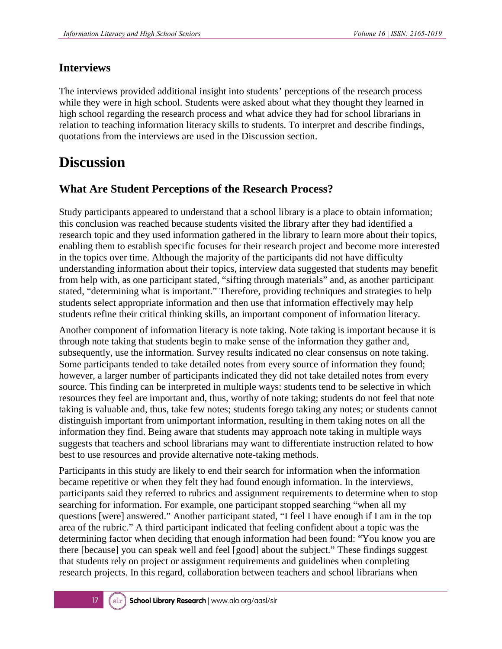#### **Interviews**

The interviews provided additional insight into students' perceptions of the research process while they were in high school. Students were asked about what they thought they learned in high school regarding the research process and what advice they had for school librarians in relation to teaching information literacy skills to students. To interpret and describe findings, quotations from the interviews are used in the Discussion section.

### **Discussion**

#### **What Are Student Perceptions of the Research Process?**

Study participants appeared to understand that a school library is a place to obtain information; this conclusion was reached because students visited the library after they had identified a research topic and they used information gathered in the library to learn more about their topics, enabling them to establish specific focuses for their research project and become more interested in the topics over time. Although the majority of the participants did not have difficulty understanding information about their topics, interview data suggested that students may benefit from help with, as one participant stated, "sifting through materials" and, as another participant stated, "determining what is important." Therefore, providing techniques and strategies to help students select appropriate information and then use that information effectively may help students refine their critical thinking skills, an important component of information literacy.

Another component of information literacy is note taking. Note taking is important because it is through note taking that students begin to make sense of the information they gather and, subsequently, use the information. Survey results indicated no clear consensus on note taking. Some participants tended to take detailed notes from every source of information they found; however, a larger number of participants indicated they did not take detailed notes from every source. This finding can be interpreted in multiple ways: students tend to be selective in which resources they feel are important and, thus, worthy of note taking; students do not feel that note taking is valuable and, thus, take few notes; students forego taking any notes; or students cannot distinguish important from unimportant information, resulting in them taking notes on all the information they find. Being aware that students may approach note taking in multiple ways suggests that teachers and school librarians may want to differentiate instruction related to how best to use resources and provide alternative note-taking methods.

Participants in this study are likely to end their search for information when the information became repetitive or when they felt they had found enough information. In the interviews, participants said they referred to rubrics and assignment requirements to determine when to stop searching for information. For example, one participant stopped searching "when all my questions [were] answered." Another participant stated, "I feel I have enough if I am in the top area of the rubric." A third participant indicated that feeling confident about a topic was the determining factor when deciding that enough information had been found: "You know you are there [because] you can speak well and feel [good] about the subject." These findings suggest that students rely on project or assignment requirements and guidelines when completing research projects. In this regard, collaboration between teachers and school librarians when

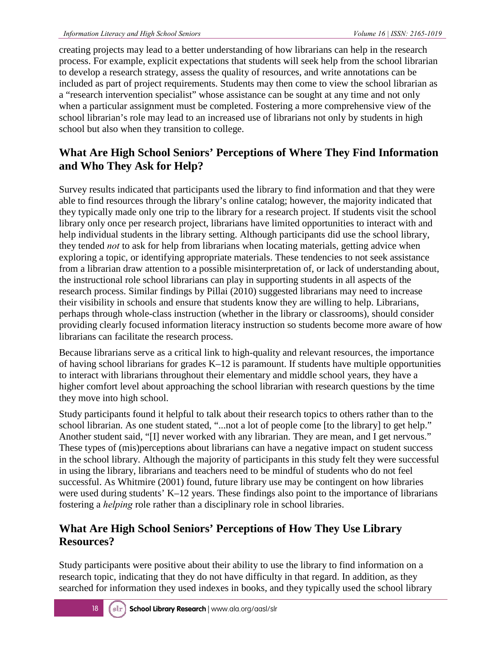creating projects may lead to a better understanding of how librarians can help in the research process. For example, explicit expectations that students will seek help from the school librarian to develop a research strategy, assess the quality of resources, and write annotations can be included as part of project requirements. Students may then come to view the school librarian as a "research intervention specialist" whose assistance can be sought at any time and not only when a particular assignment must be completed. Fostering a more comprehensive view of the school librarian's role may lead to an increased use of librarians not only by students in high school but also when they transition to college.

#### **What Are High School Seniors' Perceptions of Where They Find Information and Who They Ask for Help?**

Survey results indicated that participants used the library to find information and that they were able to find resources through the library's online catalog; however, the majority indicated that they typically made only one trip to the library for a research project. If students visit the school library only once per research project, librarians have limited opportunities to interact with and help individual students in the library setting. Although participants did use the school library, they tended *not* to ask for help from librarians when locating materials, getting advice when exploring a topic, or identifying appropriate materials. These tendencies to not seek assistance from a librarian draw attention to a possible misinterpretation of, or lack of understanding about, the instructional role school librarians can play in supporting students in all aspects of the research process. Similar findings by Pillai (2010) suggested librarians may need to increase their visibility in schools and ensure that students know they are willing to help. Librarians, perhaps through whole-class instruction (whether in the library or classrooms), should consider providing clearly focused information literacy instruction so students become more aware of how librarians can facilitate the research process.

Because librarians serve as a critical link to high-quality and relevant resources, the importance of having school librarians for grades K–12 is paramount. If students have multiple opportunities to interact with librarians throughout their elementary and middle school years, they have a higher comfort level about approaching the school librarian with research questions by the time they move into high school.

Study participants found it helpful to talk about their research topics to others rather than to the school librarian. As one student stated, "...not a lot of people come [to the library] to get help." Another student said, "[I] never worked with any librarian. They are mean, and I get nervous." These types of (mis)perceptions about librarians can have a negative impact on student success in the school library. Although the majority of participants in this study felt they were successful in using the library, librarians and teachers need to be mindful of students who do not feel successful. As Whitmire (2001) found, future library use may be contingent on how libraries were used during students' K–12 years. These findings also point to the importance of librarians fostering a *helping* role rather than a disciplinary role in school libraries.

#### **What Are High School Seniors' Perceptions of How They Use Library Resources?**

Study participants were positive about their ability to use the library to find information on a research topic, indicating that they do not have difficulty in that regard. In addition, as they searched for information they used indexes in books, and they typically used the school library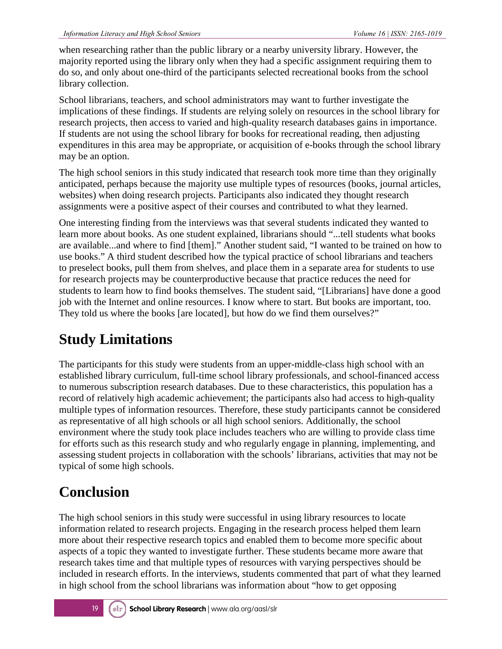when researching rather than the public library or a nearby university library. However, the majority reported using the library only when they had a specific assignment requiring them to do so, and only about one-third of the participants selected recreational books from the school library collection.

School librarians, teachers, and school administrators may want to further investigate the implications of these findings. If students are relying solely on resources in the school library for research projects, then access to varied and high-quality research databases gains in importance. If students are not using the school library for books for recreational reading, then adjusting expenditures in this area may be appropriate, or acquisition of e-books through the school library may be an option.

The high school seniors in this study indicated that research took more time than they originally anticipated, perhaps because the majority use multiple types of resources (books, journal articles, websites) when doing research projects. Participants also indicated they thought research assignments were a positive aspect of their courses and contributed to what they learned.

One interesting finding from the interviews was that several students indicated they wanted to learn more about books. As one student explained, librarians should "...tell students what books are available...and where to find [them]." Another student said, "I wanted to be trained on how to use books." A third student described how the typical practice of school librarians and teachers to preselect books, pull them from shelves, and place them in a separate area for students to use for research projects may be counterproductive because that practice reduces the need for students to learn how to find books themselves. The student said, "[Librarians] have done a good job with the Internet and online resources. I know where to start. But books are important, too. They told us where the books [are located], but how do we find them ourselves?"

### **Study Limitations**

The participants for this study were students from an upper-middle-class high school with an established library curriculum, full-time school library professionals, and school-financed access to numerous subscription research databases. Due to these characteristics, this population has a record of relatively high academic achievement; the participants also had access to high-quality multiple types of information resources. Therefore, these study participants cannot be considered as representative of all high schools or all high school seniors. Additionally, the school environment where the study took place includes teachers who are willing to provide class time for efforts such as this research study and who regularly engage in planning, implementing, and assessing student projects in collaboration with the schools' librarians, activities that may not be typical of some high schools.

### **Conclusion**

The high school seniors in this study were successful in using library resources to locate information related to research projects. Engaging in the research process helped them learn more about their respective research topics and enabled them to become more specific about aspects of a topic they wanted to investigate further. These students became more aware that research takes time and that multiple types of resources with varying perspectives should be included in research efforts. In the interviews, students commented that part of what they learned in high school from the school librarians was information about "how to get opposing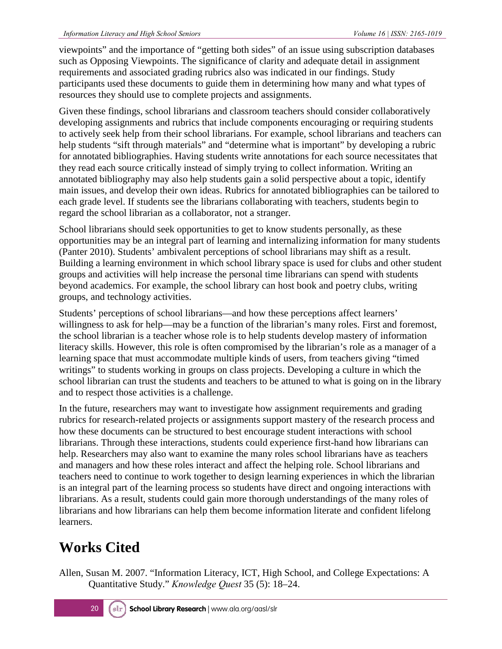viewpoints" and the importance of "getting both sides" of an issue using subscription databases such as Opposing Viewpoints. The significance of clarity and adequate detail in assignment requirements and associated grading rubrics also was indicated in our findings. Study participants used these documents to guide them in determining how many and what types of resources they should use to complete projects and assignments.

Given these findings, school librarians and classroom teachers should consider collaboratively developing assignments and rubrics that include components encouraging or requiring students to actively seek help from their school librarians. For example, school librarians and teachers can help students "sift through materials" and "determine what is important" by developing a rubric for annotated bibliographies. Having students write annotations for each source necessitates that they read each source critically instead of simply trying to collect information. Writing an annotated bibliography may also help students gain a solid perspective about a topic, identify main issues, and develop their own ideas. Rubrics for annotated bibliographies can be tailored to each grade level. If students see the librarians collaborating with teachers, students begin to regard the school librarian as a collaborator, not a stranger.

School librarians should seek opportunities to get to know students personally, as these opportunities may be an integral part of learning and internalizing information for many students (Panter 2010). Students' ambivalent perceptions of school librarians may shift as a result. Building a learning environment in which school library space is used for clubs and other student groups and activities will help increase the personal time librarians can spend with students beyond academics. For example, the school library can host book and poetry clubs, writing groups, and technology activities.

Students' perceptions of school librarians—and how these perceptions affect learners' willingness to ask for help—may be a function of the librarian's many roles. First and foremost, the school librarian is a teacher whose role is to help students develop mastery of information literacy skills. However, this role is often compromised by the librarian's role as a manager of a learning space that must accommodate multiple kinds of users, from teachers giving "timed writings" to students working in groups on class projects. Developing a culture in which the school librarian can trust the students and teachers to be attuned to what is going on in the library and to respect those activities is a challenge.

In the future, researchers may want to investigate how assignment requirements and grading rubrics for research-related projects or assignments support mastery of the research process and how these documents can be structured to best encourage student interactions with school librarians. Through these interactions, students could experience first-hand how librarians can help. Researchers may also want to examine the many roles school librarians have as teachers and managers and how these roles interact and affect the helping role. School librarians and teachers need to continue to work together to design learning experiences in which the librarian is an integral part of the learning process so students have direct and ongoing interactions with librarians. As a result, students could gain more thorough understandings of the many roles of librarians and how librarians can help them become information literate and confident lifelong learners.

### **Works Cited**

Allen, Susan M. 2007. "Information Literacy, ICT, High School, and College Expectations: A Quantitative Study." *Knowledge Quest* 35 (5): 18–24.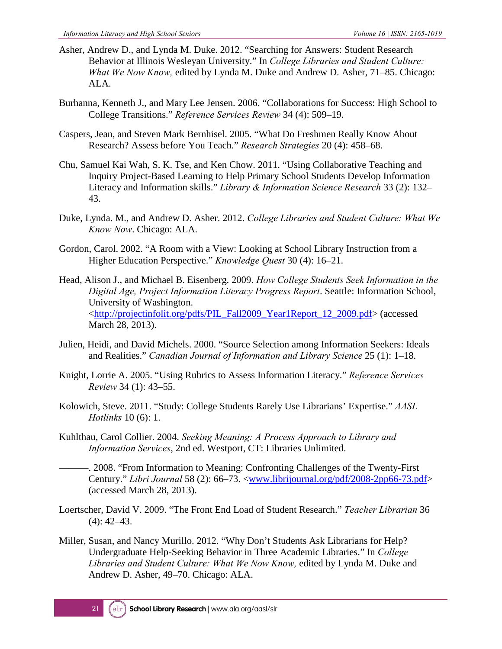- Asher, Andrew D., and Lynda M. Duke. 2012. "Searching for Answers: Student Research Behavior at Illinois Wesleyan University." In *College Libraries and Student Culture: What We Now Know,* edited by Lynda M. Duke and Andrew D. Asher, 71–85. Chicago: ALA.
- Burhanna, Kenneth J., and Mary Lee Jensen. 2006. "Collaborations for Success: High School to College Transitions." *Reference Services Review* 34 (4): 509–19.
- Caspers, Jean, and Steven Mark Bernhisel. 2005. "What Do Freshmen Really Know About Research? Assess before You Teach." *Research Strategies* 20 (4): 458–68.
- Chu, Samuel Kai Wah, S. K. Tse, and Ken Chow. 2011. "Using Collaborative Teaching and Inquiry Project-Based Learning to Help Primary School Students Develop Information Literacy and Information skills." *Library & Information Science Research* 33 (2): 132– 43.
- Duke, Lynda. M., and Andrew D. Asher. 2012. *College Libraries and Student Culture: What We Know Now*. Chicago: ALA.
- Gordon, Carol. 2002. "A Room with a View: Looking at School Library Instruction from a Higher Education Perspective." *Knowledge Quest* 30 (4): 16–21.
- Head, Alison J., and Michael B. Eisenberg. 2009. *How College Students Seek Information in the Digital Age, Project Information Literacy Progress Report*. Seattle: Information School, University of Washington. [<http://projectinfolit.org/pdfs/PIL\\_Fall2009\\_Year1Report\\_12\\_2009.pdf>](http://projectinfolit.org/pdfs/PIL_Fall2009_Year1Report_12_2009.pdf) (accessed March 28, 2013).
- Julien, Heidi, and David Michels. 2000. "Source Selection among Information Seekers: Ideals and Realities." *Canadian Journal of Information and Library Science* 25 (1): 1–18.
- Knight, Lorrie A. 2005. "Using Rubrics to Assess Information Literacy." *Reference Services Review* 34 (1): 43–55.
- Kolowich, Steve. 2011. "Study: College Students Rarely Use Librarians' Expertise." *AASL Hotlinks* 10 (6): 1.
- Kuhlthau, Carol Collier. 2004. *Seeking Meaning: A Process Approach to Library and Information Services*, 2nd ed. Westport, CT: Libraries Unlimited.
	- ———. 2008. "From Information to Meaning: Confronting Challenges of the Twenty-First Century." *Libri Journal* 58 (2): 66–73. [<www.librijournal.org/pdf/2008-2pp66-73.pdf>](http://www.librijournal.org/pdf/2008-2pp66-73.pdf) (accessed March 28, 2013).
- Loertscher, David V. 2009. "The Front End Load of Student Research." *Teacher Librarian* 36  $(4)$ : 42–43.
- Miller, Susan, and Nancy Murillo. 2012. "Why Don't Students Ask Librarians for Help? Undergraduate Help-Seeking Behavior in Three Academic Libraries." In *College Libraries and Student Culture: What We Now Know,* edited by Lynda M. Duke and Andrew D. Asher, 49–70. Chicago: ALA.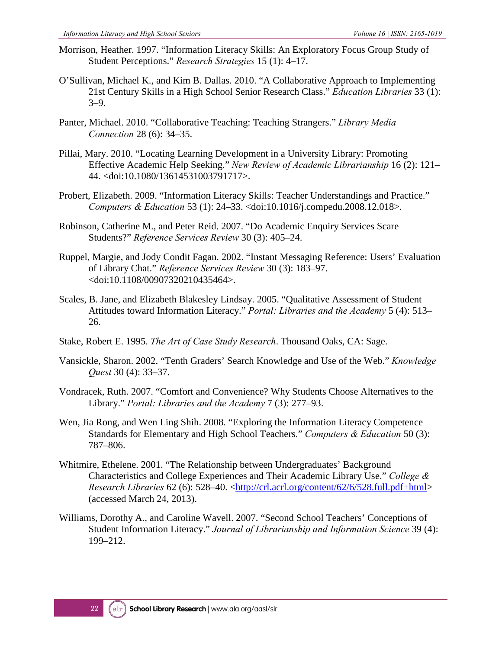- Morrison, Heather. 1997. "Information Literacy Skills: An Exploratory Focus Group Study of Student Perceptions." *Research Strategies* 15 (1): 4–17.
- O'Sullivan, Michael K., and Kim B. Dallas. 2010. "A Collaborative Approach to Implementing 21st Century Skills in a High School Senior Research Class." *Education Libraries* 33 (1): 3–9.
- Panter, Michael. 2010. "Collaborative Teaching: Teaching Strangers." *Library Media Connection* 28 (6): 34–35.
- Pillai, Mary. 2010. "Locating Learning Development in a University Library: Promoting Effective Academic Help Seeking." *New Review of Academic Librarianship* 16 (2): 121– 44. <doi:10.1080/13614531003791717>.
- Probert, Elizabeth. 2009. "Information Literacy Skills: Teacher Understandings and Practice." *Computers & Education* 53 (1): 24–33. <doi:10.1016/j.compedu.2008.12.018>.
- Robinson, Catherine M., and Peter Reid. 2007. "Do Academic Enquiry Services Scare Students?" *Reference Services Review* 30 (3): 405–24.
- Ruppel, Margie, and Jody Condit Fagan. 2002. "Instant Messaging Reference: Users' Evaluation of Library Chat." *Reference Services Review* 30 (3): 183–97. <doi:10.1108/00907320210435464>.
- Scales, B. Jane, and Elizabeth Blakesley Lindsay. 2005. "Qualitative Assessment of Student Attitudes toward Information Literacy." *Portal: Libraries and the Academy* 5 (4): 513– 26.
- Stake, Robert E. 1995. *The Art of Case Study Research*. Thousand Oaks, CA: Sage.
- Vansickle, Sharon. 2002. "Tenth Graders' Search Knowledge and Use of the Web." *Knowledge Quest* 30 (4): 33–37.
- Vondracek, Ruth. 2007. "Comfort and Convenience? Why Students Choose Alternatives to the Library." *Portal: Libraries and the Academy* 7 (3): 277–93.
- Wen, Jia Rong, and Wen Ling Shih. 2008. "Exploring the Information Literacy Competence Standards for Elementary and High School Teachers." *Computers & Education* 50 (3): 787–806.
- Whitmire, Ethelene. 2001. "The Relationship between Undergraduates' Background Characteristics and College Experiences and Their Academic Library Use." *College & Research Libraries* 62 (6): 528–40. [<http://crl.acrl.org/content/62/6/528.full.pdf+html>](http://crl.acrl.org/content/62/6/528.full.pdf+html) (accessed March 24, 2013).
- Williams, Dorothy A., and Caroline Wavell. 2007. "Second School Teachers' Conceptions of Student Information Literacy." *Journal of Librarianship and Information Science* 39 (4): 199–212.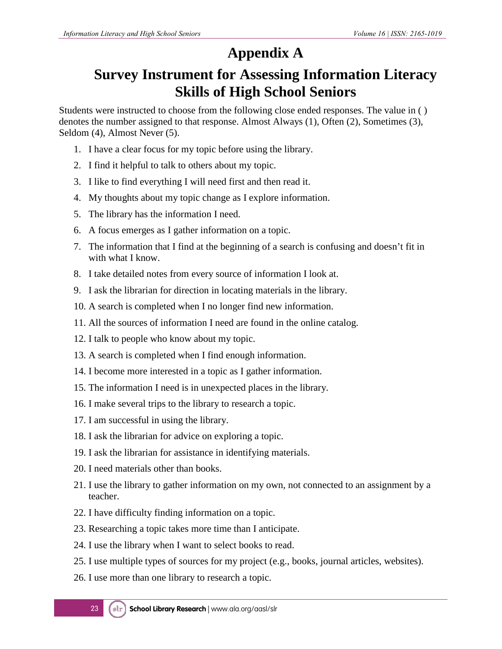### **Appendix A**

### **Survey Instrument for Assessing Information Literacy Skills of High School Seniors**

Students were instructed to choose from the following close ended responses. The value in ( ) denotes the number assigned to that response. Almost Always (1), Often (2), Sometimes (3), Seldom (4), Almost Never (5).

- 1. I have a clear focus for my topic before using the library.
- 2. I find it helpful to talk to others about my topic.
- 3. I like to find everything I will need first and then read it.
- 4. My thoughts about my topic change as I explore information.
- 5. The library has the information I need.
- 6. A focus emerges as I gather information on a topic.
- 7. The information that I find at the beginning of a search is confusing and doesn't fit in with what I know.
- 8. I take detailed notes from every source of information I look at.
- 9. I ask the librarian for direction in locating materials in the library.
- 10. A search is completed when I no longer find new information.
- 11. All the sources of information I need are found in the online catalog.
- 12. I talk to people who know about my topic.
- 13. A search is completed when I find enough information.
- 14. I become more interested in a topic as I gather information.
- 15. The information I need is in unexpected places in the library.
- 16. I make several trips to the library to research a topic.
- 17. I am successful in using the library.
- 18. I ask the librarian for advice on exploring a topic.
- 19. I ask the librarian for assistance in identifying materials.
- 20. I need materials other than books.
- 21. I use the library to gather information on my own, not connected to an assignment by a teacher.
- 22. I have difficulty finding information on a topic.
- 23. Researching a topic takes more time than I anticipate.
- 24. I use the library when I want to select books to read.
- 25. I use multiple types of sources for my project (e.g., books, journal articles, websites).
- 26. I use more than one library to research a topic.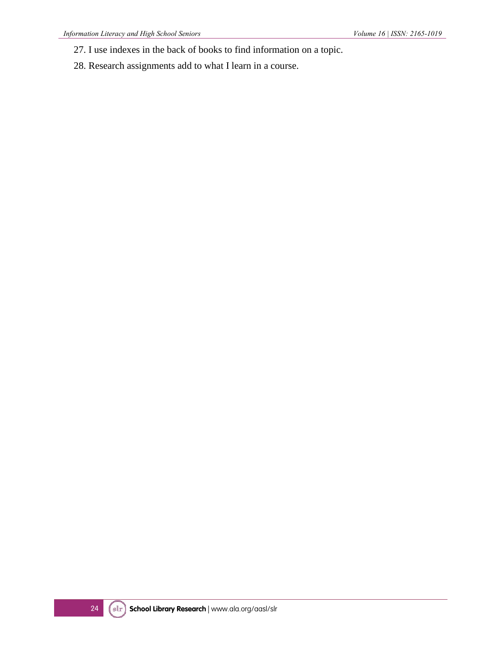- 27. I use indexes in the back of books to find information on a topic.
- 28. Research assignments add to what I learn in a course.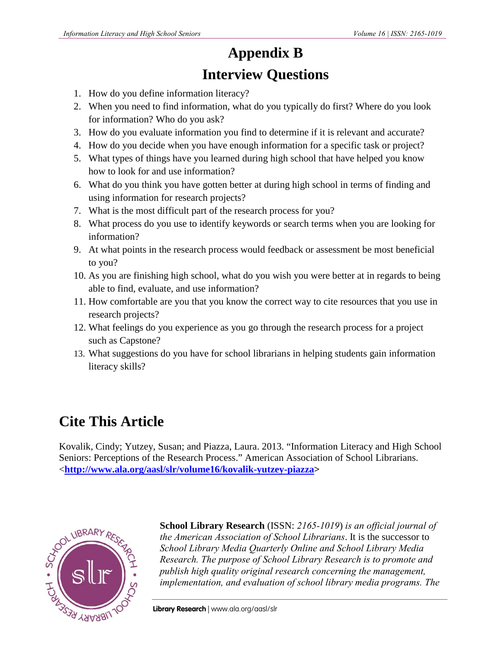## **Appendix B**

### **Interview Questions**

- 1. How do you define information literacy?
- 2. When you need to find information, what do you typically do first? Where do you look for information? Who do you ask?
- 3. How do you evaluate information you find to determine if it is relevant and accurate?
- 4. How do you decide when you have enough information for a specific task or project?
- 5. What types of things have you learned during high school that have helped you know how to look for and use information?
- 6. What do you think you have gotten better at during high school in terms of finding and using information for research projects?
- 7. What is the most difficult part of the research process for you?
- 8. What process do you use to identify keywords or search terms when you are looking for information?
- 9. At what points in the research process would feedback or assessment be most beneficial to you?
- 10. As you are finishing high school, what do you wish you were better at in regards to being able to find, evaluate, and use information?
- 11. How comfortable are you that you know the correct way to cite resources that you use in research projects?
- 12. What feelings do you experience as you go through the research process for a project such as Capstone?
- 13. What suggestions do you have for school librarians in helping students gain information literacy skills?

### **Cite This Article**

Kovalik, Cindy; Yutzey, Susan; and Piazza, Laura. 2013. "Information Literacy and High School Seniors: Perceptions of the Research Process." American Association of School Librarians. <**http://www.ala.org/aasl/slr/volume16/kovalik-yutzey-piazza>**



**School Library Research** (ISSN: *2165-1019*) *is an official journal of the American Association of School Librarians*. It is the successor to *School Library Media Quarterly Online and School Library Media Research. The purpose of School Library Research is to promote and publish high quality original research concerning the management, implementation, and evaluation of school library media programs. The*